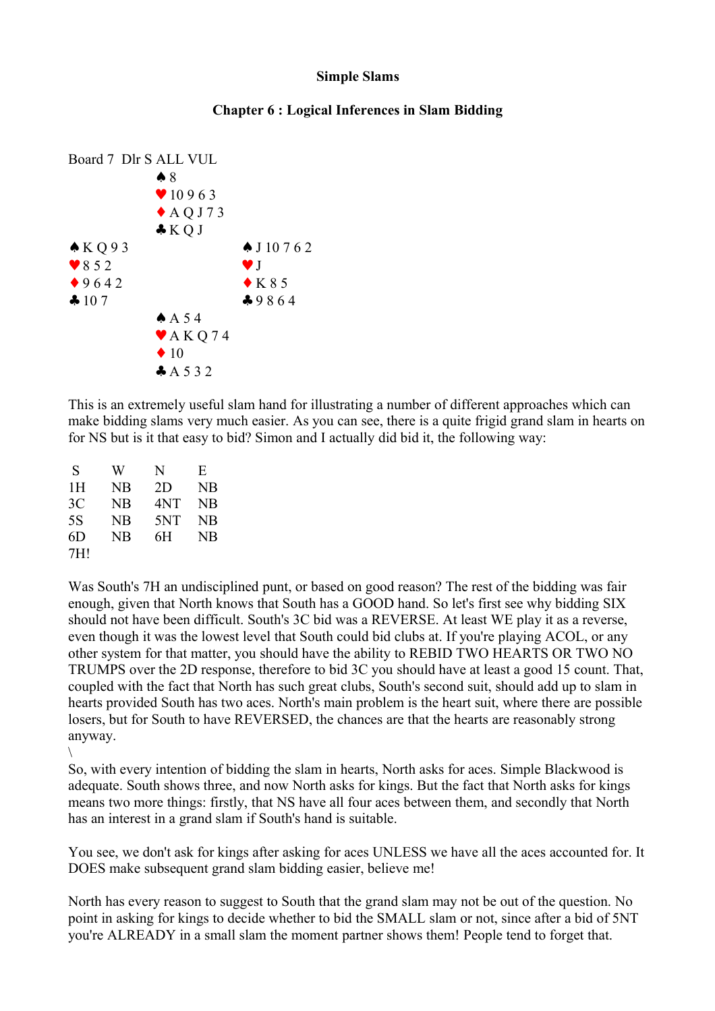## **Simple Slams**

## **Chapter 6 : Logical Inferences in Slam Bidding**



This is an extremely useful slam hand for illustrating a number of different approaches which can make bidding slams very much easier. As you can see, there is a quite frigid grand slam in hearts on for NS but is it that easy to bid? Simon and I actually did bid it, the following way:

| S   | W  | N   | E   |
|-----|----|-----|-----|
| 1Н  | NΒ | 2D  | NB  |
| 3C  | NB | 4NT | NB. |
| 5S  | NB | 5NT | NB. |
| 6D  | NB | 6H  | NB. |
| 7H1 |    |     |     |

 $\setminus$ 

Was South's 7H an undisciplined punt, or based on good reason? The rest of the bidding was fair enough, given that North knows that South has a GOOD hand. So let's first see why bidding SIX should not have been difficult. South's 3C bid was a REVERSE. At least WE play it as a reverse, even though it was the lowest level that South could bid clubs at. If you're playing ACOL, or any other system for that matter, you should have the ability to REBID TWO HEARTS OR TWO NO TRUMPS over the 2D response, therefore to bid 3C you should have at least a good 15 count. That, coupled with the fact that North has such great clubs, South's second suit, should add up to slam in hearts provided South has two aces. North's main problem is the heart suit, where there are possible losers, but for South to have REVERSED, the chances are that the hearts are reasonably strong anyway.

So, with every intention of bidding the slam in hearts, North asks for aces. Simple Blackwood is adequate. South shows three, and now North asks for kings. But the fact that North asks for kings means two more things: firstly, that NS have all four aces between them, and secondly that North has an interest in a grand slam if South's hand is suitable.

You see, we don't ask for kings after asking for aces UNLESS we have all the aces accounted for. It DOES make subsequent grand slam bidding easier, believe me!

North has every reason to suggest to South that the grand slam may not be out of the question. No point in asking for kings to decide whether to bid the SMALL slam or not, since after a bid of 5NT you're ALREADY in a small slam the moment partner shows them! People tend to forget that.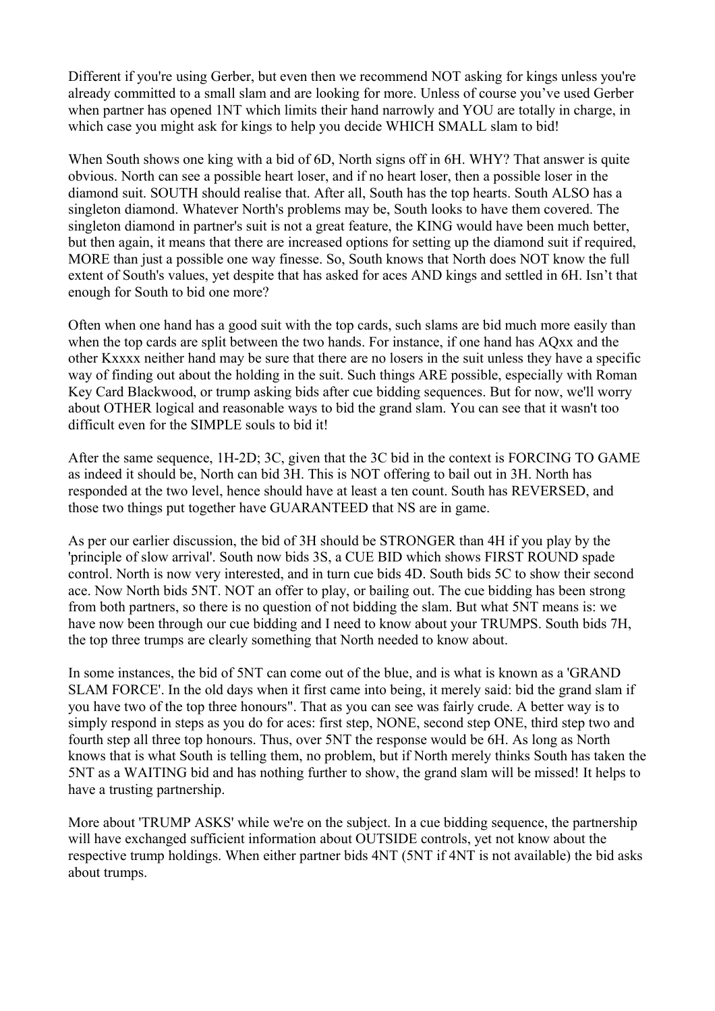Different if you're using Gerber, but even then we recommend NOT asking for kings unless you're already committed to a small slam and are looking for more. Unless of course you've used Gerber when partner has opened 1NT which limits their hand narrowly and YOU are totally in charge, in which case you might ask for kings to help you decide WHICH SMALL slam to bid!

When South shows one king with a bid of 6D, North signs off in 6H. WHY? That answer is quite obvious. North can see a possible heart loser, and if no heart loser, then a possible loser in the diamond suit. SOUTH should realise that. After all, South has the top hearts. South ALSO has a singleton diamond. Whatever North's problems may be, South looks to have them covered. The singleton diamond in partner's suit is not a great feature, the KING would have been much better, but then again, it means that there are increased options for setting up the diamond suit if required, MORE than just a possible one way finesse. So, South knows that North does NOT know the full extent of South's values, yet despite that has asked for aces AND kings and settled in 6H. Isn't that enough for South to bid one more?

Often when one hand has a good suit with the top cards, such slams are bid much more easily than when the top cards are split between the two hands. For instance, if one hand has AQxx and the other Kxxxx neither hand may be sure that there are no losers in the suit unless they have a specific way of finding out about the holding in the suit. Such things ARE possible, especially with Roman Key Card Blackwood, or trump asking bids after cue bidding sequences. But for now, we'll worry about OTHER logical and reasonable ways to bid the grand slam. You can see that it wasn't too difficult even for the SIMPLE souls to bid it!

After the same sequence, 1H-2D; 3C, given that the 3C bid in the context is FORCING TO GAME as indeed it should be, North can bid 3H. This is NOT offering to bail out in 3H. North has responded at the two level, hence should have at least a ten count. South has REVERSED, and those two things put together have GUARANTEED that NS are in game.

As per our earlier discussion, the bid of 3H should be STRONGER than 4H if you play by the 'principle of slow arrival'. South now bids 3S, a CUE BID which shows FIRST ROUND spade control. North is now very interested, and in turn cue bids 4D. South bids 5C to show their second ace. Now North bids 5NT. NOT an offer to play, or bailing out. The cue bidding has been strong from both partners, so there is no question of not bidding the slam. But what 5NT means is: we have now been through our cue bidding and I need to know about your TRUMPS. South bids 7H, the top three trumps are clearly something that North needed to know about.

In some instances, the bid of 5NT can come out of the blue, and is what is known as a 'GRAND SLAM FORCE'. In the old days when it first came into being, it merely said: bid the grand slam if you have two of the top three honours". That as you can see was fairly crude. A better way is to simply respond in steps as you do for aces: first step, NONE, second step ONE, third step two and fourth step all three top honours. Thus, over 5NT the response would be 6H. As long as North knows that is what South is telling them, no problem, but if North merely thinks South has taken the 5NT as a WAITING bid and has nothing further to show, the grand slam will be missed! It helps to have a trusting partnership.

More about 'TRUMP ASKS' while we're on the subject. In a cue bidding sequence, the partnership will have exchanged sufficient information about OUTSIDE controls, yet not know about the respective trump holdings. When either partner bids 4NT (5NT if 4NT is not available) the bid asks about trumps.